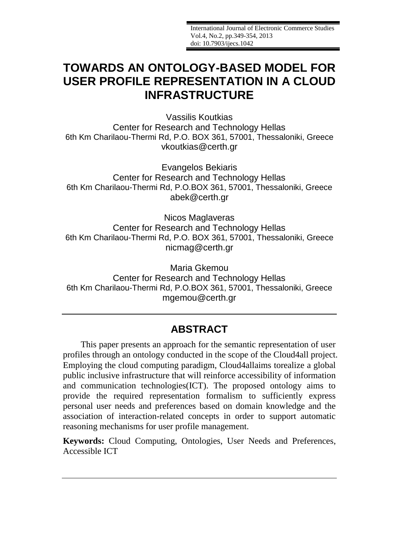International Journal of Electronic Commerce Studies Vol.4, No.2, pp.349-354, 2013 doi: 10.7903/ijecs.1042

# **TOWARDS AN ONTOLOGY-BASED MODEL FOR USER PROFILE REPRESENTATION IN A CLOUD INFRASTRUCTURE**

Vassilis Koutkias Center for Research and Technology Hellas 6th Km Charilaou-Thermi Rd, P.O. BOX 361, 57001, Thessaloniki, Greece [vkoutkias@certh.gr](mailto:vkoutkias@certh.gr)

Evangelos Bekiaris Center for Research and Technology Hellas 6th Km Charilaou-Thermi Rd, P.O.BOX 361, 57001, Thessaloniki, Greece [abek@certh.gr](mailto:abek@certh.gr)

Nicos Maglaveras Center for Research and Technology Hellas 6th Km Charilaou-Thermi Rd, P.O. BOX 361, 57001, Thessaloniki, Greece [nicmag@certh.gr](mailto:nicmag@certh.gr)

Maria Gkemou Center for Research and Technology Hellas 6th Km Charilaou-Thermi Rd, P.O.BOX 361, 57001, Thessaloniki, Greece [mgemou@certh.gr](mailto:mgemou@certh.gr)

# **ABSTRACT**

This paper presents an approach for the semantic representation of user profiles through an ontology conducted in the scope of the Cloud4all project. Employing the cloud computing paradigm, Cloud4allaims torealize a global public inclusive infrastructure that will reinforce accessibility of information and communication technologies(ICT). The proposed ontology aims to provide the required representation formalism to sufficiently express personal user needs and preferences based on domain knowledge and the association of interaction-related concepts in order to support automatic reasoning mechanisms for user profile management.

**Keywords:** Cloud Computing, Ontologies, User Needs and Preferences, Accessible ICT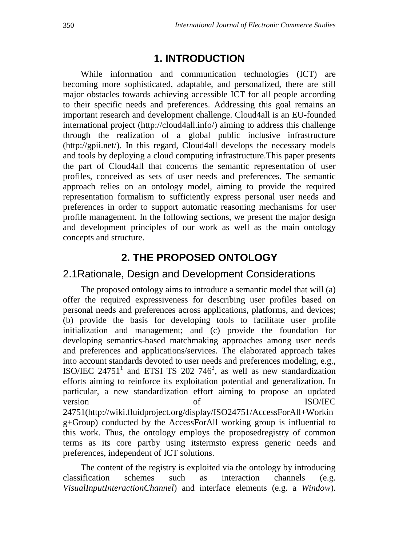### **1. INTRODUCTION**

While information and communication technologies (ICT) are becoming more sophisticated, adaptable, and personalized, there are still major obstacles towards achieving accessible ICT for all people according to their specific needs and preferences. Addressing this goal remains an important research and development challenge. Cloud4all is an EU-founded international project [\(http://cloud4all.info/\)](http://cloud4all.info/) aiming to address this challenge through the realization of a global public inclusive infrastructure [\(http://gpii.net/\)](http://gpii.net/). In this regard, Cloud4all develops the necessary models and tools by deploying a cloud computing infrastructure.This paper presents the part of Cloud4all that concerns the semantic representation of user profiles, conceived as sets of user needs and preferences. The semantic approach relies on an ontology model, aiming to provide the required representation formalism to sufficiently express personal user needs and preferences in order to support automatic reasoning mechanisms for user profile management. In the following sections, we present the major design and development principles of our work as well as the main ontology concepts and structure.

# **2. THE PROPOSED ONTOLOGY**

#### 2.1Rationale, Design and Development Considerations

The proposed ontology aims to introduce a semantic model that will (a) offer the required expressiveness for describing user profiles based on personal needs and preferences across applications, platforms, and devices; (b) provide the basis for developing tools to facilitate user profile initialization and management; and (c) provide the foundation for developing semantics-based matchmaking approaches among user needs and preferences and applications/services. The elaborated approach takes into account standards devoted to user needs and preferences modeling, e.g., ISO/IEC 24751<sup>1</sup> and ETSI TS 202 746<sup>2</sup>, as well as new standardization efforts aiming to reinforce its exploitation potential and generalization. In particular, a new standardization effort aiming to propose an updated version of ISO/IEC 24751[\(http://wiki.fluidproject.org/display/ISO24751/AccessForAll+Workin](http://wiki.fluidproject.org/display/ISO24751/AccessForAll+Working+Group) [g+Group\)](http://wiki.fluidproject.org/display/ISO24751/AccessForAll+Working+Group) conducted by the AccessForAll working group is influential to this work. Thus, the ontology employs the proposedregistry of common terms as its core partby using itstermsto express generic needs and preferences, independent of ICT solutions.

The content of the registry is exploited via the ontology by introducing classification schemes such as interaction channels (e.g. *VisualInputInteractionChannel*) and interface elements (e.g. a *Window*).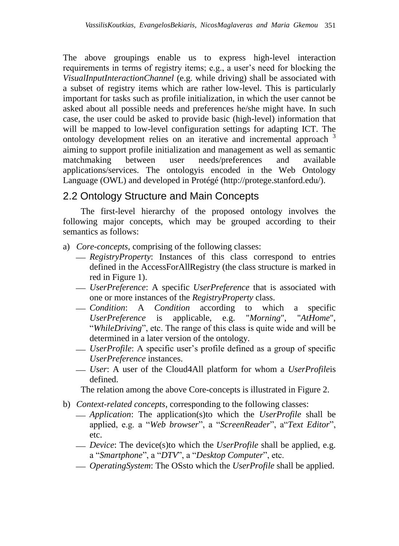The above groupings enable us to express high-level interaction requirements in terms of registry items; e.g., a user's need for blocking the *VisualInputInteractionChannel* (e.g. while driving) shall be associated with a subset of registry items which are rather low-level. This is particularly important for tasks such as profile initialization, in which the user cannot be asked about all possible needs and preferences he/she might have. In such case, the user could be asked to provide basic (high-level) information that will be mapped to low-level configuration settings for adapting ICT. The ontology development relies on an iterative and incremental approach <sup>3</sup> aiming to support profile initialization and management as well as semantic matchmaking between user needs/preferences and available applications/services. The ontologyis encoded in the Web Ontology Language (OWL) and developed in Protégé [\(http://protege.stanford.edu/\)](http://protege.stanford.edu/).

## 2.2 Ontology Structure and Main Concepts

The first-level hierarchy of the proposed ontology involves the following major concepts, which may be grouped according to their semantics as follows:

- a) *Core-concepts*, comprising of the following classes:
	- *RegistryProperty*: Instances of this class correspond to entries defined in the AccessForAllRegistry (the class structure is marked in red in Figure 1).
	- *UserPreference*: A specific *UserPreference* that is associated with one or more instances of the *RegistryProperty* class.
	- *Condition*: A *Condition* according to which a specific *UserPreference* is applicable, e.g. "*Morning*", "*AtHome*", "*WhileDriving*", etc. The range of this class is quite wide and will be determined in a later version of the ontology.
	- *UserProfile*: A specific user's profile defined as a group of specific *UserPreference* instances.
	- *User*: A user of the Cloud4All platform for whom a *UserProfile*is defined.

The relation among the above Core-concepts is illustrated in Figure 2.

- b) *Context-related concepts*, corresponding to the following classes:
	- *Application*: The application(s)to which the *UserProfile* shall be applied, e.g. a "*Web browser*", a "*ScreenReader*", a"*Text Editor*", etc.
	- *Device*: The device(s)to which the *UserProfile* shall be applied, e.g. a "*Smartphone*", a "*DTV*", a "*Desktop Computer*", etc.
	- *OperatingSystem*: The OSsto which the *UserProfile* shall be applied.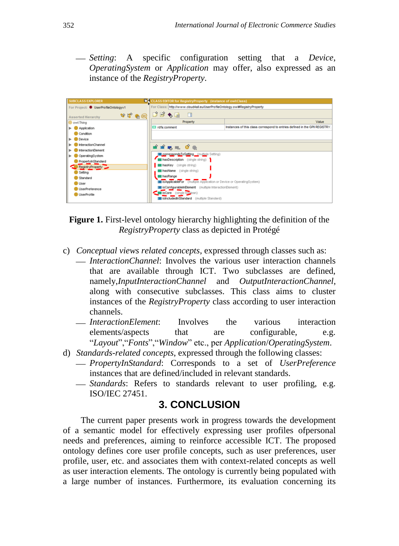*Setting*: A specific configuration setting that a *Device*, *OperatingSystem* or *Application* may offer, also expressed as an instance of the *RegistryProperty*.

| <b>CLASS EDITOR for RegistryProperty</b> (instance of owl:Class)<br><b>SUBCLASS EXPLORER</b> |                                                                           |                                                                             |
|----------------------------------------------------------------------------------------------|---------------------------------------------------------------------------|-----------------------------------------------------------------------------|
| For Project: UserProfileOntologyv1                                                           | For Class: http://www.cloud4al.eu/UserProfileOntology.ow#RegistryProperty |                                                                             |
| <b>Asserted Hierarchy</b>                                                                    |                                                                           |                                                                             |
| owt Thing                                                                                    | Property                                                                  | Value                                                                       |
| $\blacktriangleright$ <b>C</b> Application                                                   | I rdfs:comment                                                            | Instances of this class correspond to entries defined in the GPII REGISTRY. |
| Condition                                                                                    |                                                                           |                                                                             |
| Device                                                                                       |                                                                           |                                                                             |
| InteractionChannel                                                                           | மீமீ நடை 0ீ ®                                                             |                                                                             |
| InteractionElement                                                                           |                                                                           |                                                                             |
| OperatingSystem                                                                              | correspondsToSetting (multiple Setting)                                   |                                                                             |
| PropertyInStandard                                                                           | hasDescription (single string)                                            |                                                                             |
| RegistryProperty                                                                             | haskey (single string)                                                    |                                                                             |
| Setting                                                                                      | hasName (single string)                                                   |                                                                             |
| Standard                                                                                     | hasRange                                                                  |                                                                             |
| User                                                                                         | isApplicableFor (multiple Application or Device or OperatingSystem)       |                                                                             |
| UserPreference                                                                               | isConfigurableInElement (multiple InteractionElement)                     |                                                                             |
| <b>UserProfile</b>                                                                           | isCore (single bookean)                                                   |                                                                             |
|                                                                                              | isincludedinStandard (multiple Standard)                                  |                                                                             |

**Figure 1.** First-level ontology hierarchy highlighting the definition of the *RegistryProperty* class as depicted in Protégé

- c) *Conceptual views related concepts*, expressed through classes such as:
	- *InteractionChannel*: Involves the various user interaction channels that are available through ICT. Two subclasses are defined, namely,*InputInteractionChannel* and *OutputInteractionChannel*, along with consecutive subclasses. This class aims to cluster instances of the *RegistryProperty* class according to user interaction channels.
	- *InteractionElement*: Involves the various interaction elements/aspects that are configurable, e.g. "*Layout*","*Fonts*","*Window*" etc., per *Application*/*OperatingSystem*.
- d) *Standards-related concepts*, expressed through the following classes:
	- *PropertyInStandard*: Corresponds to a set of *UserPreference* instances that are defined/included in relevant standards.
	- *Standards*: Refers to standards relevant to user profiling, e.g. ISO/IEC 27451.

#### **3. CONCLUSION**

The current paper presents work in progress towards the development of a semantic model for effectively expressing user profiles ofpersonal needs and preferences, aiming to reinforce accessible ICT. The proposed ontology defines core user profile concepts, such as user preferences, user profile, user, etc. and associates them with context-related concepts as well as user interaction elements. The ontology is currently being populated with a large number of instances. Furthermore, its evaluation concerning its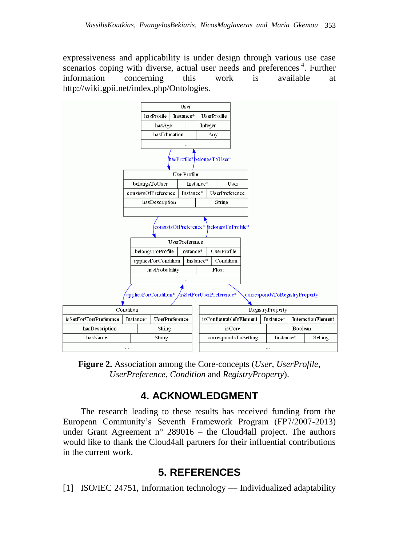expressiveness and applicability is under design through various use case scenarios coping with diverse, actual user needs and preferences<sup>4</sup>. Further information concerning this work is available at [http://wiki.gpii.net/index.php/Ontologies.](http://wiki.gpii.net/index.php/Ontologies)



**Figure 2.** Association among the Core-concepts (*User*, *UserProfile*, *UserPreference*, *Condition* and *RegistryProperty*).

# **4. ACKNOWLEDGMENT**

The research leading to these results has received funding from the European Community's Seventh Framework Program (FP7/2007-2013) under Grant Agreement  $n^{\circ}$  289016 – the Cloud4all project. The authors would like to thank the Cloud4all partners for their influential contributions in the current work.

## **5. REFERENCES**

[1] ISO/IEC 24751, Information technology — Individualized adaptability